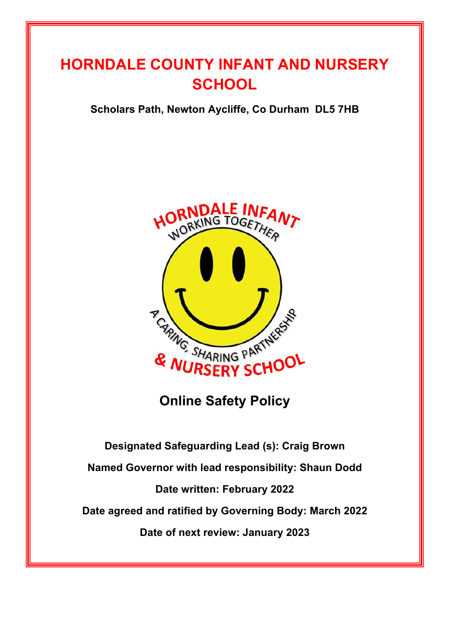# **HORNDALE COUNTY INFANT AND NURSERY SCHOOL**

**Scholars Path, Newton Aycliffe, Co Durham DL5 7HB**



**Online Safety Policy**

**Designated Safeguarding Lead (s): Craig Brown Named Governor with lead responsibility: Shaun Dodd Date written: February 2022 Date agreed and ratified by Governing Body: March 2022 Date of next review: January 2023**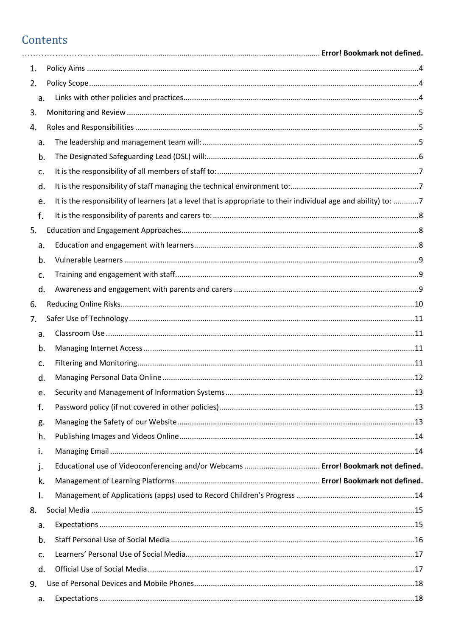#### Contents

| 1. |                                                                                                                 |  |
|----|-----------------------------------------------------------------------------------------------------------------|--|
| 2. |                                                                                                                 |  |
| a. |                                                                                                                 |  |
| 3. |                                                                                                                 |  |
| 4. |                                                                                                                 |  |
| a. |                                                                                                                 |  |
| b. |                                                                                                                 |  |
| c. |                                                                                                                 |  |
| d. |                                                                                                                 |  |
| e. | It is the responsibility of learners (at a level that is appropriate to their individual age and ability) to: 7 |  |
| f. |                                                                                                                 |  |
| 5. |                                                                                                                 |  |
| a. |                                                                                                                 |  |
| b. |                                                                                                                 |  |
| c. |                                                                                                                 |  |
| d. |                                                                                                                 |  |
| 6. |                                                                                                                 |  |
| 7. |                                                                                                                 |  |
| a. |                                                                                                                 |  |
| b. |                                                                                                                 |  |
| c. |                                                                                                                 |  |
| d. |                                                                                                                 |  |
| e. |                                                                                                                 |  |
| f. |                                                                                                                 |  |
| g. |                                                                                                                 |  |
| h. |                                                                                                                 |  |
| i. |                                                                                                                 |  |
| j. |                                                                                                                 |  |
| k. |                                                                                                                 |  |
| Ι. |                                                                                                                 |  |
| 8. |                                                                                                                 |  |
| a. |                                                                                                                 |  |
| b. |                                                                                                                 |  |
| c. |                                                                                                                 |  |
| d. |                                                                                                                 |  |
| 9. |                                                                                                                 |  |
| a. |                                                                                                                 |  |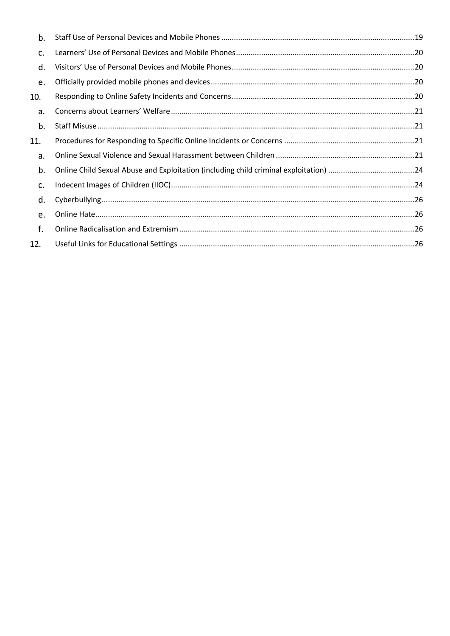| b.  |  |
|-----|--|
| c.  |  |
| d.  |  |
| e.  |  |
| 10. |  |
| a.  |  |
| b.  |  |
| 11. |  |
| a.  |  |
| b.  |  |
| c.  |  |
| d.  |  |
| e.  |  |
| f.  |  |
| 12. |  |
|     |  |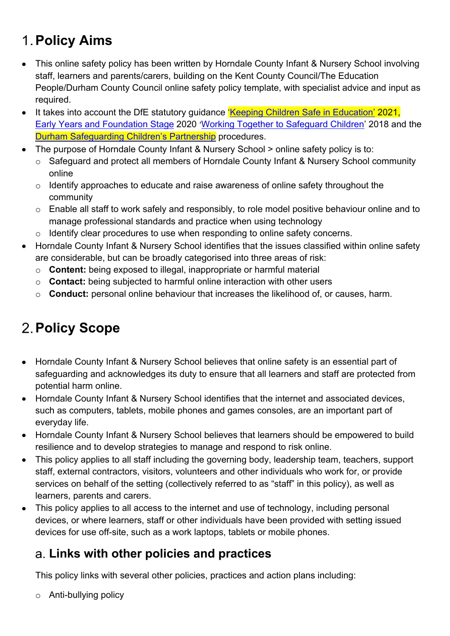# **Policy Aims**

- This online safety policy has been written by Horndale County Infant & Nursery School involving staff, learners and parents/carers, building on the Kent County Council/The Education People/Durham County Council online safety policy template, with specialist advice and input as required.
- It takes into account the DfE statutory quidance *Keeping Children Safe in Education' 2021*, Early Years and Foundation Stage 2020 'Working Together to Safeguard Children' 2018 and the Durham Safeguarding Children's Partnership procedures.
- The purpose of Horndale County Infant & Nursery School > online safety policy is to:
	- o Safeguard and protect all members of Horndale County Infant & Nursery School community online
	- o Identify approaches to educate and raise awareness of online safety throughout the community
	- o Enable all staff to work safely and responsibly, to role model positive behaviour online and to manage professional standards and practice when using technology
	- o Identify clear procedures to use when responding to online safety concerns.
- Horndale County Infant & Nursery School identifies that the issues classified within online safety are considerable, but can be broadly categorised into three areas of risk:
	- o **Content:** being exposed to illegal, inappropriate or harmful material
	- o **Contact:** being subjected to harmful online interaction with other users
	- o **Conduct:** personal online behaviour that increases the likelihood of, or causes, harm.

# **2. Policy Scope**

- Horndale County Infant & Nursery School believes that online safety is an essential part of safeguarding and acknowledges its duty to ensure that all learners and staff are protected from potential harm online.
- Horndale County Infant & Nursery School identifies that the internet and associated devices, such as computers, tablets, mobile phones and games consoles, are an important part of everyday life.
- Horndale County Infant & Nursery School believes that learners should be empowered to build resilience and to develop strategies to manage and respond to risk online.
- This policy applies to all staff including the governing body, leadership team, teachers, support staff, external contractors, visitors, volunteers and other individuals who work for, or provide services on behalf of the setting (collectively referred to as "staff" in this policy), as well as learners, parents and carers.
- This policy applies to all access to the internet and use of technology, including personal devices, or where learners, staff or other individuals have been provided with setting issued devices for use off-site, such as a work laptops, tablets or mobile phones.

### **Links with other policies and practices**

This policy links with several other policies, practices and action plans including:

o Anti-bullying policy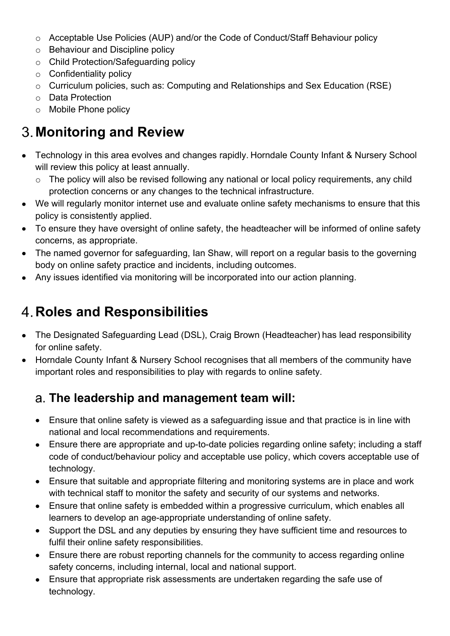- o Acceptable Use Policies (AUP) and/or the Code of Conduct/Staff Behaviour policy
- o Behaviour and Discipline policy
- o Child Protection/Safeguarding policy
- $\circ$  Confidentiality policy
- o Curriculum policies, such as: Computing and Relationships and Sex Education (RSE)
- o Data Protection
- o Mobile Phone policy

# **Monitoring and Review**

- Technology in this area evolves and changes rapidly. Horndale County Infant & Nursery School will review this policy at least annually.
	- o The policy will also be revised following any national or local policy requirements, any child protection concerns or any changes to the technical infrastructure.
- We will regularly monitor internet use and evaluate online safety mechanisms to ensure that this policy is consistently applied.
- To ensure they have oversight of online safety, the headteacher will be informed of online safety concerns, as appropriate.
- The named governor for safeguarding, Ian Shaw, will report on a regular basis to the governing body on online safety practice and incidents, including outcomes.
- Any issues identified via monitoring will be incorporated into our action planning.

## **Roles and Responsibilities**

- The Designated Safeguarding Lead (DSL), Craig Brown (Headteacher) has lead responsibility for online safety.
- Horndale County Infant & Nursery School recognises that all members of the community have important roles and responsibilities to play with regards to online safety.

#### **The leadership and management team will:**

- Ensure that online safety is viewed as a safeguarding issue and that practice is in line with national and local recommendations and requirements.
- Ensure there are appropriate and up-to-date policies regarding online safety; including a staff code of conduct/behaviour policy and acceptable use policy, which covers acceptable use of technology.
- Ensure that suitable and appropriate filtering and monitoring systems are in place and work with technical staff to monitor the safety and security of our systems and networks.
- Ensure that online safety is embedded within a progressive curriculum, which enables all learners to develop an age-appropriate understanding of online safety.
- Support the DSL and any deputies by ensuring they have sufficient time and resources to fulfil their online safety responsibilities.
- Ensure there are robust reporting channels for the community to access regarding online safety concerns, including internal, local and national support.
- Ensure that appropriate risk assessments are undertaken regarding the safe use of technology.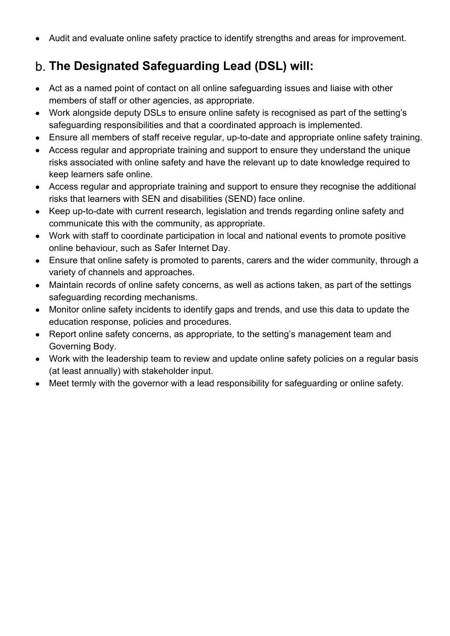• Audit and evaluate online safety practice to identify strengths and areas for improvement.

### **The Designated Safeguarding Lead (DSL) will:**

- Act as a named point of contact on all online safeguarding issues and liaise with other members of staff or other agencies, as appropriate.
- Work alongside deputy DSLs to ensure online safety is recognised as part of the setting's safeguarding responsibilities and that a coordinated approach is implemented.
- Ensure all members of staff receive regular, up-to-date and appropriate online safety training.
- Access regular and appropriate training and support to ensure they understand the unique risks associated with online safety and have the relevant up to date knowledge required to keep learners safe online.
- Access regular and appropriate training and support to ensure they recognise the additional risks that learners with SEN and disabilities (SEND) face online.
- Keep up-to-date with current research, legislation and trends regarding online safety and communicate this with the community, as appropriate.
- Work with staff to coordinate participation in local and national events to promote positive online behaviour, such as Safer Internet Day.
- Ensure that online safety is promoted to parents, carers and the wider community, through a variety of channels and approaches.
- Maintain records of online safety concerns, as well as actions taken, as part of the settings safeguarding recording mechanisms.
- Monitor online safety incidents to identify gaps and trends, and use this data to update the education response, policies and procedures.
- Report online safety concerns, as appropriate, to the setting's management team and Governing Body.
- Work with the leadership team to review and update online safety policies on a regular basis (at least annually) with stakeholder input.
- Meet termly with the governor with a lead responsibility for safeguarding or online safety.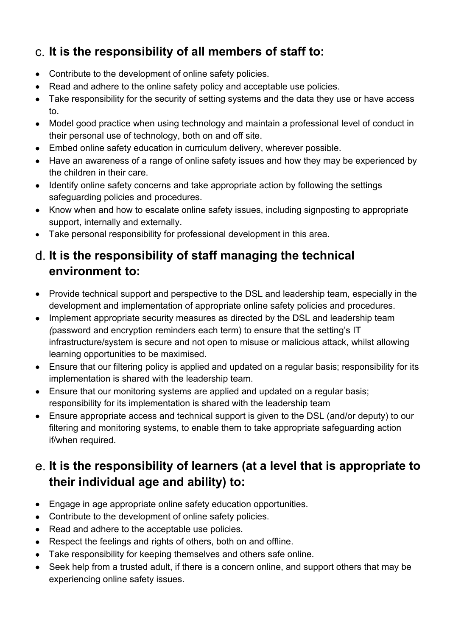### **It is the responsibility of all members of staff to:**

- Contribute to the development of online safety policies.
- Read and adhere to the online safety policy and acceptable use policies.
- Take responsibility for the security of setting systems and the data they use or have access to.
- Model good practice when using technology and maintain a professional level of conduct in their personal use of technology, both on and off site.
- Embed online safety education in curriculum delivery, wherever possible.
- Have an awareness of a range of online safety issues and how they may be experienced by the children in their care.
- Identify online safety concerns and take appropriate action by following the settings safeguarding policies and procedures.
- Know when and how to escalate online safety issues, including signposting to appropriate support, internally and externally.
- Take personal responsibility for professional development in this area.

#### **It is the responsibility of staff managing the technical environment to:**

- Provide technical support and perspective to the DSL and leadership team, especially in the development and implementation of appropriate online safety policies and procedures.
- Implement appropriate security measures as directed by the DSL and leadership team *(*password and encryption reminders each term) to ensure that the setting's IT infrastructure/system is secure and not open to misuse or malicious attack, whilst allowing learning opportunities to be maximised.
- Ensure that our filtering policy is applied and updated on a regular basis; responsibility for its implementation is shared with the leadership team.
- Ensure that our monitoring systems are applied and updated on a regular basis; responsibility for its implementation is shared with the leadership team
- Ensure appropriate access and technical support is given to the DSL (and/or deputy) to our filtering and monitoring systems, to enable them to take appropriate safeguarding action if/when required.

### **It is the responsibility of learners (at a level that is appropriate to their individual age and ability) to:**

- Engage in age appropriate online safety education opportunities.
- Contribute to the development of online safety policies.
- Read and adhere to the acceptable use policies.
- Respect the feelings and rights of others, both on and offline.
- Take responsibility for keeping themselves and others safe online.
- Seek help from a trusted adult, if there is a concern online, and support others that may be experiencing online safety issues.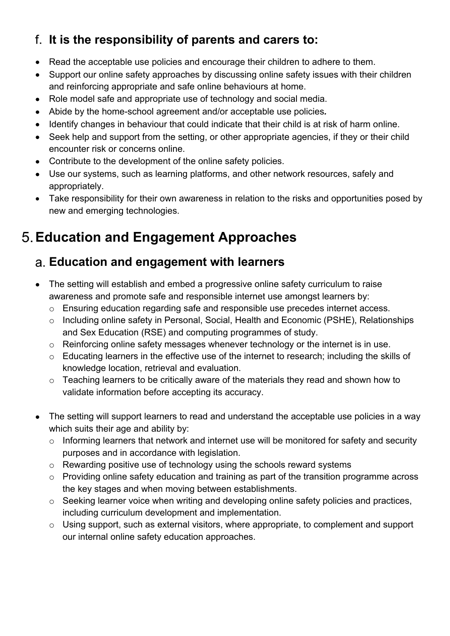### **It is the responsibility of parents and carers to:**

- Read the acceptable use policies and encourage their children to adhere to them.
- Support our online safety approaches by discussing online safety issues with their children and reinforcing appropriate and safe online behaviours at home.
- Role model safe and appropriate use of technology and social media.
- Abide by the home-school agreement and/or acceptable use policies*.*
- Identify changes in behaviour that could indicate that their child is at risk of harm online.
- Seek help and support from the setting, or other appropriate agencies, if they or their child encounter risk or concerns online.
- Contribute to the development of the online safety policies.
- Use our systems, such as learning platforms, and other network resources, safely and appropriately.
- Take responsibility for their own awareness in relation to the risks and opportunities posed by new and emerging technologies.

## **Education and Engagement Approaches**

#### **Education and engagement with learners**

- The setting will establish and embed a progressive online safety curriculum to raise awareness and promote safe and responsible internet use amongst learners by:
	- o Ensuring education regarding safe and responsible use precedes internet access.
	- o Including online safety in Personal, Social, Health and Economic (PSHE), Relationships and Sex Education (RSE) and computing programmes of study.
	- o Reinforcing online safety messages whenever technology or the internet is in use.
	- o Educating learners in the effective use of the internet to research; including the skills of knowledge location, retrieval and evaluation.
	- o Teaching learners to be critically aware of the materials they read and shown how to validate information before accepting its accuracy.
- The setting will support learners to read and understand the acceptable use policies in a way which suits their age and ability by:
	- o Informing learners that network and internet use will be monitored for safety and security purposes and in accordance with legislation.
	- o Rewarding positive use of technology using the schools reward systems
	- o Providing online safety education and training as part of the transition programme across the key stages and when moving between establishments.
	- o Seeking learner voice when writing and developing online safety policies and practices, including curriculum development and implementation.
	- o Using support, such as external visitors, where appropriate, to complement and support our internal online safety education approaches.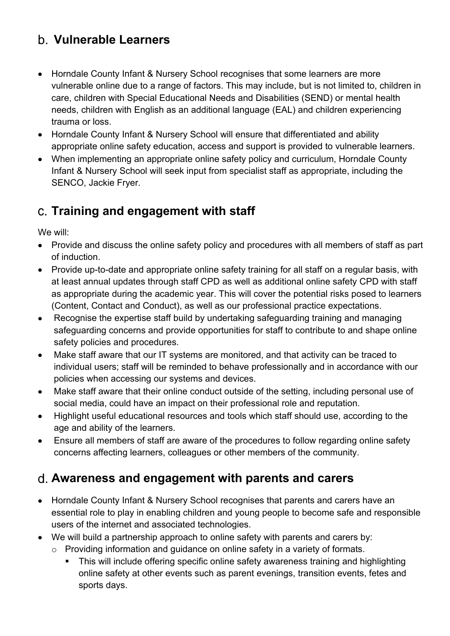#### **Vulnerable Learners**

- Horndale County Infant & Nursery School recognises that some learners are more vulnerable online due to a range of factors. This may include, but is not limited to, children in care, children with Special Educational Needs and Disabilities (SEND) or mental health needs, children with English as an additional language (EAL) and children experiencing trauma or loss.
- Horndale County Infant & Nursery School will ensure that differentiated and ability appropriate online safety education, access and support is provided to vulnerable learners.
- When implementing an appropriate online safety policy and curriculum, Horndale County Infant & Nursery School will seek input from specialist staff as appropriate, including the SENCO, Jackie Fryer.

#### **Training and engagement with staff**

We will:

- Provide and discuss the online safety policy and procedures with all members of staff as part of induction.
- Provide up-to-date and appropriate online safety training for all staff on a regular basis, with at least annual updates through staff CPD as well as additional online safety CPD with staff as appropriate during the academic year. This will cover the potential risks posed to learners (Content, Contact and Conduct), as well as our professional practice expectations.
- Recognise the expertise staff build by undertaking safeguarding training and managing safeguarding concerns and provide opportunities for staff to contribute to and shape online safety policies and procedures.
- Make staff aware that our IT systems are monitored, and that activity can be traced to individual users; staff will be reminded to behave professionally and in accordance with our policies when accessing our systems and devices.
- Make staff aware that their online conduct outside of the setting, including personal use of social media, could have an impact on their professional role and reputation.
- Highlight useful educational resources and tools which staff should use, according to the age and ability of the learners.
- Ensure all members of staff are aware of the procedures to follow regarding online safety concerns affecting learners, colleagues or other members of the community.

#### **Awareness and engagement with parents and carers**

- Horndale County Infant & Nursery School recognises that parents and carers have an essential role to play in enabling children and young people to become safe and responsible users of the internet and associated technologies.
- We will build a partnership approach to online safety with parents and carers by:
	- o Providing information and guidance on online safety in a variety of formats.
		- This will include offering specific online safety awareness training and highlighting online safety at other events such as parent evenings, transition events, fetes and sports days.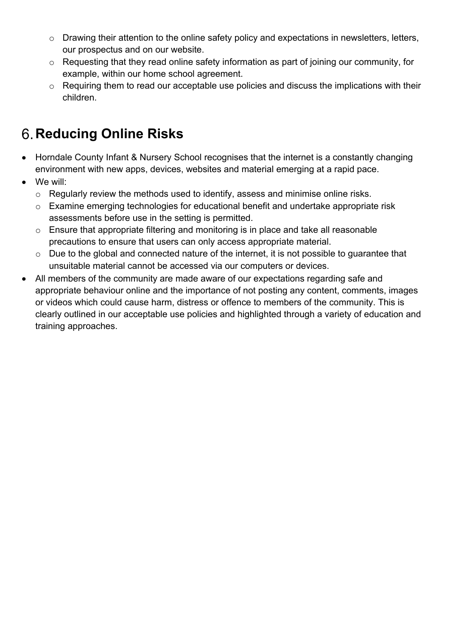- $\circ$  Drawing their attention to the online safety policy and expectations in newsletters, letters, our prospectus and on our website.
- o Requesting that they read online safety information as part of joining our community, for example, within our home school agreement.
- $\circ$  Requiring them to read our acceptable use policies and discuss the implications with their children.

# **Reducing Online Risks**

- Horndale County Infant & Nursery School recognises that the internet is a constantly changing environment with new apps, devices, websites and material emerging at a rapid pace.
- We will:
	- o Regularly review the methods used to identify, assess and minimise online risks.
	- o Examine emerging technologies for educational benefit and undertake appropriate risk assessments before use in the setting is permitted.
	- o Ensure that appropriate filtering and monitoring is in place and take all reasonable precautions to ensure that users can only access appropriate material.
	- o Due to the global and connected nature of the internet, it is not possible to guarantee that unsuitable material cannot be accessed via our computers or devices.
- All members of the community are made aware of our expectations regarding safe and appropriate behaviour online and the importance of not posting any content, comments, images or videos which could cause harm, distress or offence to members of the community. This is clearly outlined in our acceptable use policies and highlighted through a variety of education and training approaches.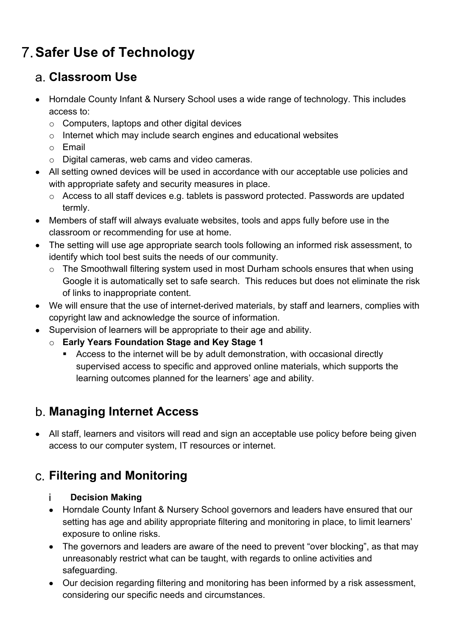# **Safer Use of Technology**

#### **Classroom Use**

- Horndale County Infant & Nursery School uses a wide range of technology. This includes access to:
	- o Computers, laptops and other digital devices
	- o Internet which may include search engines and educational websites
	- o Email
	- o Digital cameras, web cams and video cameras.
- All setting owned devices will be used in accordance with our acceptable use policies and with appropriate safety and security measures in place.
	- o Access to all staff devices e.g. tablets is password protected. Passwords are updated termly.
- Members of staff will always evaluate websites, tools and apps fully before use in the classroom or recommending for use at home.
- The setting will use age appropriate search tools following an informed risk assessment, to identify which tool best suits the needs of our community.
	- $\circ$  The Smoothwall filtering system used in most Durham schools ensures that when using Google it is automatically set to safe search. This reduces but does not eliminate the risk of links to inappropriate content.
- We will ensure that the use of internet-derived materials, by staff and learners, complies with copyright law and acknowledge the source of information.
- Supervision of learners will be appropriate to their age and ability.
	- o **Early Years Foundation Stage and Key Stage 1**
		- Access to the internet will be by adult demonstration, with occasional directly supervised access to specific and approved online materials, which supports the learning outcomes planned for the learners' age and ability.

### **Managing Internet Access**

• All staff, learners and visitors will read and sign an acceptable use policy before being given access to our computer system, IT resources or internet.

### **Filtering and Monitoring**

#### j. **Decision Making**

- Horndale County Infant & Nursery School governors and leaders have ensured that our setting has age and ability appropriate filtering and monitoring in place, to limit learners' exposure to online risks.
- The governors and leaders are aware of the need to prevent "over blocking", as that may unreasonably restrict what can be taught, with regards to online activities and safeguarding.
- Our decision regarding filtering and monitoring has been informed by a risk assessment, considering our specific needs and circumstances.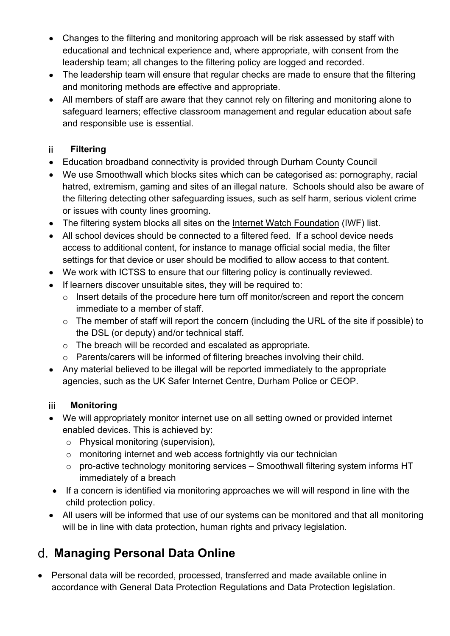- Changes to the filtering and monitoring approach will be risk assessed by staff with educational and technical experience and, where appropriate, with consent from the leadership team; all changes to the filtering policy are logged and recorded.
- The leadership team will ensure that regular checks are made to ensure that the filtering and monitoring methods are effective and appropriate.
- All members of staff are aware that they cannot rely on filtering and monitoring alone to safeguard learners; effective classroom management and regular education about safe and responsible use is essential.

#### ii. **Filtering**

- Education broadband connectivity is provided through Durham County Council
- We use Smoothwall which blocks sites which can be categorised as: pornography, racial hatred, extremism, gaming and sites of an illegal nature. Schools should also be aware of the filtering detecting other safeguarding issues, such as self harm, serious violent crime or issues with county lines grooming.
- The filtering system blocks all sites on the Internet Watch Foundation (IWF) list.
- All school devices should be connected to a filtered feed. If a school device needs access to additional content, for instance to manage official social media, the filter settings for that device or user should be modified to allow access to that content.
- We work with ICTSS to ensure that our filtering policy is continually reviewed*.*
- If learners discover unsuitable sites, they will be required to:
	- o Insert details of the procedure here turn off monitor/screen and report the concern immediate to a member of staff.
	- o The member of staff will report the concern (including the URL of the site if possible) to the DSL (or deputy) and/or technical staff.
	- o The breach will be recorded and escalated as appropriate.
	- o Parents/carers will be informed of filtering breaches involving their child.
- Any material believed to be illegal will be reported immediately to the appropriate agencies, such as the UK Safer Internet Centre, Durham Police or CEOP.

#### iii **Monitoring**

- We will appropriately monitor internet use on all setting owned or provided internet enabled devices. This is achieved by:
	- o Physical monitoring (supervision),
	- o monitoring internet and web access fortnightly via our technician
	- o pro-active technology monitoring services Smoothwall filtering system informs HT immediately of a breach
- If a concern is identified via monitoring approaches we will will respond in line with the child protection policy.
- All users will be informed that use of our systems can be monitored and that all monitoring will be in line with data protection, human rights and privacy legislation.

## **Managing Personal Data Online**

• Personal data will be recorded, processed, transferred and made available online in accordance with General Data Protection Regulations and Data Protection legislation.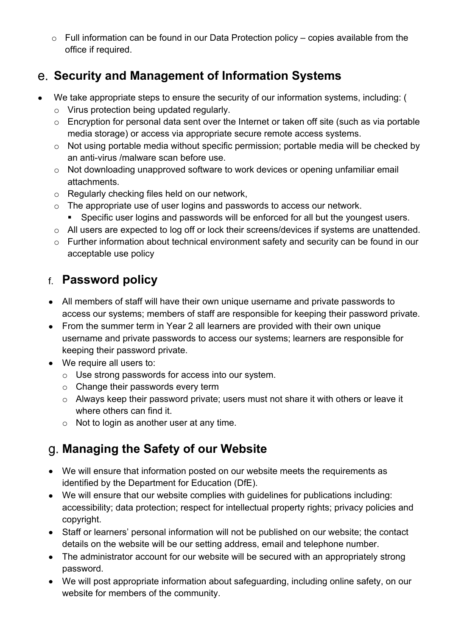$\circ$  Full information can be found in our Data Protection policy – copies available from the office if required.

#### **Security and Management of Information Systems**

- We take appropriate steps to ensure the security of our information systems, including: (
	- o Virus protection being updated regularly.
	- o Encryption for personal data sent over the Internet or taken off site (such as via portable media storage) or access via appropriate secure remote access systems.
	- o Not using portable media without specific permission; portable media will be checked by an anti-virus /malware scan before use.
	- o Not downloading unapproved software to work devices or opening unfamiliar email attachments.
	- o Regularly checking files held on our network,
	- o The appropriate use of user logins and passwords to access our network.
		- Specific user logins and passwords will be enforced for all but the youngest users.
	- o All users are expected to log off or lock their screens/devices if systems are unattended.
	- o Further information about technical environment safety and security can be found in our acceptable use policy

#### **Password policy**

- All members of staff will have their own unique username and private passwords to access our systems; members of staff are responsible for keeping their password private.
- From the summer term in Year 2 all learners are provided with their own unique username and private passwords to access our systems; learners are responsible for keeping their password private.
- We require all users to:
	- o Use strong passwords for access into our system.
	- o Change their passwords every term
	- o Always keep their password private; users must not share it with others or leave it where others can find it.
	- o Not to login as another user at any time.

### **Managing the Safety of our Website**

- We will ensure that information posted on our website meets the requirements as identified by the Department for Education (DfE).
- We will ensure that our website complies with guidelines for publications including: accessibility; data protection; respect for intellectual property rights; privacy policies and copyright.
- Staff or learners' personal information will not be published on our website; the contact details on the website will be our setting address, email and telephone number.
- The administrator account for our website will be secured with an appropriately strong password.
- We will post appropriate information about safeguarding, including online safety, on our website for members of the community.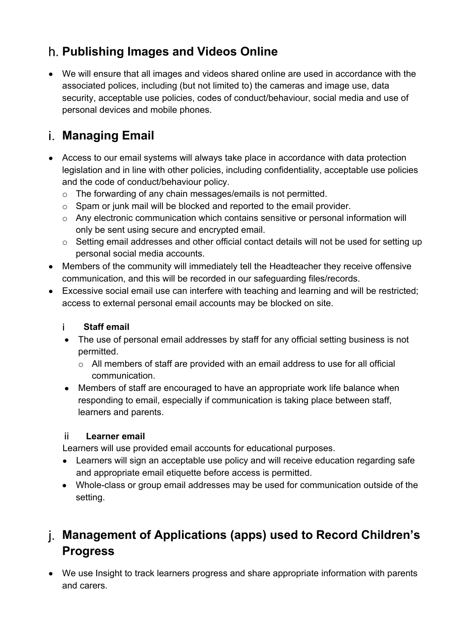#### **Publishing Images and Videos Online**

• We will ensure that all images and videos shared online are used in accordance with the associated polices, including (but not limited to) the cameras and image use, data security, acceptable use policies, codes of conduct/behaviour, social media and use of personal devices and mobile phones.

### **Managing Email**

- Access to our email systems will always take place in accordance with data protection legislation and in line with other policies, including confidentiality, acceptable use policies and the code of conduct/behaviour policy.
	- o The forwarding of any chain messages/emails is not permitted.
	- o Spam or junk mail will be blocked and reported to the email provider.
	- o Any electronic communication which contains sensitive or personal information will only be sent using secure and encrypted email.
	- o Setting email addresses and other official contact details will not be used for setting up personal social media accounts.
- Members of the community will immediately tell the Headteacher they receive offensive communication, and this will be recorded in our safeguarding files/records.
- Excessive social email use can interfere with teaching and learning and will be restricted; access to external personal email accounts may be blocked on site.

#### i. **Staff email**

- The use of personal email addresses by staff for any official setting business is not permitted.
	- o All members of staff are provided with an email address to use for all official communication.
- Members of staff are encouraged to have an appropriate work life balance when responding to email, especially if communication is taking place between staff, learners and parents.

#### ii. **Learner email**

Learners will use provided email accounts for educational purposes.

- Learners will sign an acceptable use policy and will receive education regarding safe and appropriate email etiquette before access is permitted.
- Whole-class or group email addresses may be used for communication outside of the setting.

### **Management of Applications (apps) used to Record Children's Progress**

• We use Insight to track learners progress and share appropriate information with parents and carers.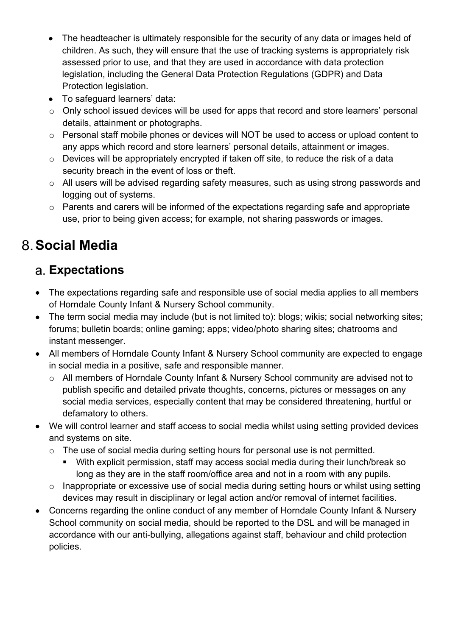- The headteacher is ultimately responsible for the security of any data or images held of children. As such, they will ensure that the use of tracking systems is appropriately risk assessed prior to use, and that they are used in accordance with data protection legislation, including the General Data Protection Regulations (GDPR) and Data Protection legislation.
- To safeguard learners' data:
- o Only school issued devices will be used for apps that record and store learners' personal details, attainment or photographs.
- o Personal staff mobile phones or devices will NOT be used to access or upload content to any apps which record and store learners' personal details, attainment or images.
- o Devices will be appropriately encrypted if taken off site, to reduce the risk of a data security breach in the event of loss or theft.
- o All users will be advised regarding safety measures, such as using strong passwords and logging out of systems.
- o Parents and carers will be informed of the expectations regarding safe and appropriate use, prior to being given access; for example, not sharing passwords or images.

## **Social Media**

#### **Expectations**

- The expectations regarding safe and responsible use of social media applies to all members of Horndale County Infant & Nursery School community.
- The term social media may include (but is not limited to): blogs; wikis; social networking sites; forums; bulletin boards; online gaming; apps; video/photo sharing sites; chatrooms and instant messenger.
- All members of Horndale County Infant & Nursery School community are expected to engage in social media in a positive, safe and responsible manner.
	- o All members of Horndale County Infant & Nursery School community are advised not to publish specific and detailed private thoughts, concerns, pictures or messages on any social media services, especially content that may be considered threatening, hurtful or defamatory to others.
- We will control learner and staff access to social media whilst using setting provided devices and systems on site.
	- o The use of social media during setting hours for personal use is not permitted.
		- With explicit permission, staff may access social media during their lunch/break so long as they are in the staff room/office area and not in a room with any pupils.
	- o Inappropriate or excessive use of social media during setting hours or whilst using setting devices may result in disciplinary or legal action and/or removal of internet facilities.
- Concerns regarding the online conduct of any member of Horndale County Infant & Nursery School community on social media, should be reported to the DSL and will be managed in accordance with our anti-bullying, allegations against staff, behaviour and child protection policies.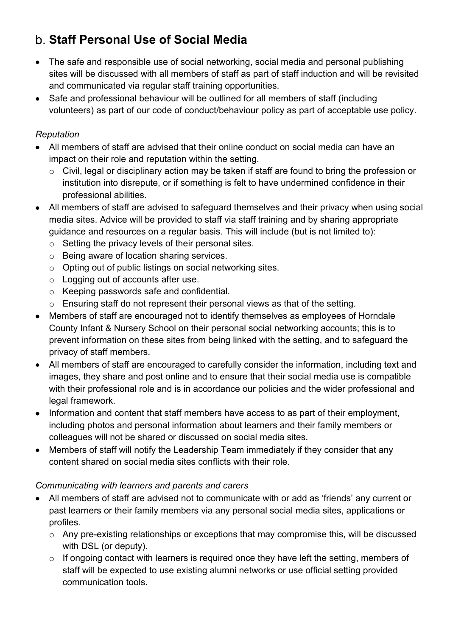## **Staff Personal Use of Social Media**

- The safe and responsible use of social networking, social media and personal publishing sites will be discussed with all members of staff as part of staff induction and will be revisited and communicated via regular staff training opportunities.
- Safe and professional behaviour will be outlined for all members of staff (including volunteers) as part of our code of conduct/behaviour policy as part of acceptable use policy.

#### *Reputation*

- All members of staff are advised that their online conduct on social media can have an impact on their role and reputation within the setting.
	- o Civil, legal or disciplinary action may be taken if staff are found to bring the profession or institution into disrepute, or if something is felt to have undermined confidence in their professional abilities.
- All members of staff are advised to safeguard themselves and their privacy when using social media sites. Advice will be provided to staff via staff training and by sharing appropriate guidance and resources on a regular basis. This will include (but is not limited to):
	- $\circ$  Setting the privacy levels of their personal sites.
	- o Being aware of location sharing services.
	- o Opting out of public listings on social networking sites.
	- o Logging out of accounts after use.
	- o Keeping passwords safe and confidential.
	- o Ensuring staff do not represent their personal views as that of the setting.
- Members of staff are encouraged not to identify themselves as employees of Horndale County Infant & Nursery School on their personal social networking accounts; this is to prevent information on these sites from being linked with the setting, and to safeguard the privacy of staff members.
- All members of staff are encouraged to carefully consider the information, including text and images, they share and post online and to ensure that their social media use is compatible with their professional role and is in accordance our policies and the wider professional and legal framework.
- Information and content that staff members have access to as part of their employment, including photos and personal information about learners and their family members or colleagues will not be shared or discussed on social media sites.
- Members of staff will notify the Leadership Team immediately if they consider that any content shared on social media sites conflicts with their role.

#### *Communicating with learners and parents and carers*

- All members of staff are advised not to communicate with or add as 'friends' any current or past learners or their family members via any personal social media sites, applications or profiles.
	- o Any pre-existing relationships or exceptions that may compromise this, will be discussed with DSL (or deputy).
	- o If ongoing contact with learners is required once they have left the setting, members of staff will be expected to use existing alumni networks or use official setting provided communication tools.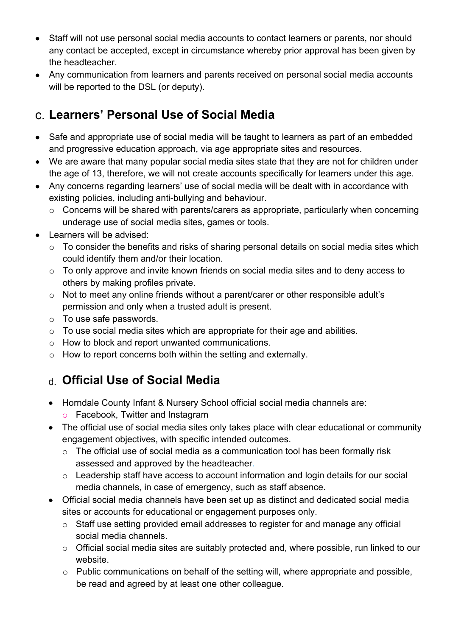- Staff will not use personal social media accounts to contact learners or parents, nor should any contact be accepted, except in circumstance whereby prior approval has been given by the headteacher.
- Any communication from learners and parents received on personal social media accounts will be reported to the DSL (or deputy).

### **Learners' Personal Use of Social Media**

- Safe and appropriate use of social media will be taught to learners as part of an embedded and progressive education approach, via age appropriate sites and resources.
- We are aware that many popular social media sites state that they are not for children under the age of 13, therefore, we will not create accounts specifically for learners under this age.
- Any concerns regarding learners' use of social media will be dealt with in accordance with existing policies, including anti-bullying and behaviour.
	- o Concerns will be shared with parents/carers as appropriate, particularly when concerning underage use of social media sites, games or tools.
- Learners will be advised:
	- $\circ$  To consider the benefits and risks of sharing personal details on social media sites which could identify them and/or their location.
	- o To only approve and invite known friends on social media sites and to deny access to others by making profiles private.
	- o Not to meet any online friends without a parent/carer or other responsible adult's permission and only when a trusted adult is present.
	- o To use safe passwords.
	- $\circ$  To use social media sites which are appropriate for their age and abilities.
	- o How to block and report unwanted communications.
	- o How to report concerns both within the setting and externally.

## **Official Use of Social Media**

- Horndale County Infant & Nursery School official social media channels are:
	- o Facebook, Twitter and Instagram
- The official use of social media sites only takes place with clear educational or community engagement objectives, with specific intended outcomes.
	- o The official use of social media as a communication tool has been formally risk assessed and approved by the headteacher*.*
	- o Leadership staff have access to account information and login details for our social media channels, in case of emergency, such as staff absence.
- Official social media channels have been set up as distinct and dedicated social media sites or accounts for educational or engagement purposes only.
	- o Staff use setting provided email addresses to register for and manage any official social media channels.
	- o Official social media sites are suitably protected and, where possible, run linked to our website.
	- o Public communications on behalf of the setting will, where appropriate and possible, be read and agreed by at least one other colleague.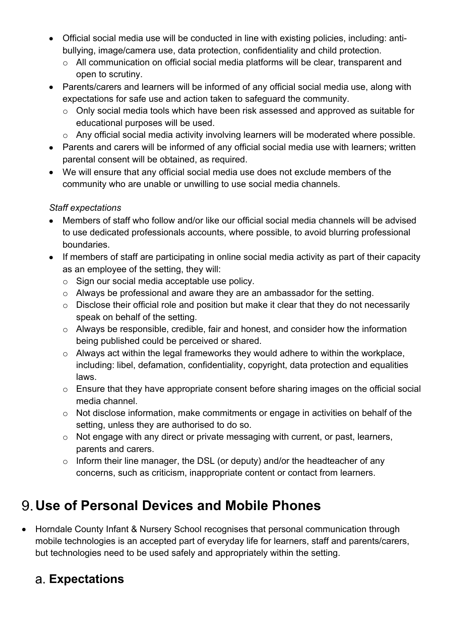- Official social media use will be conducted in line with existing policies, including: antibullying, image/camera use, data protection, confidentiality and child protection.
	- o All communication on official social media platforms will be clear, transparent and open to scrutiny.
- Parents/carers and learners will be informed of any official social media use, along with expectations for safe use and action taken to safeguard the community.
	- o Only social media tools which have been risk assessed and approved as suitable for educational purposes will be used.
	- o Any official social media activity involving learners will be moderated where possible.
- Parents and carers will be informed of any official social media use with learners; written parental consent will be obtained, as required.
- We will ensure that any official social media use does not exclude members of the community who are unable or unwilling to use social media channels.

#### *Staff expectations*

- Members of staff who follow and/or like our official social media channels will be advised to use dedicated professionals accounts, where possible, to avoid blurring professional boundaries.
- If members of staff are participating in online social media activity as part of their capacity as an employee of the setting, they will:
	- o Sign our social media acceptable use policy.
	- o Always be professional and aware they are an ambassador for the setting.
	- o Disclose their official role and position but make it clear that they do not necessarily speak on behalf of the setting.
	- o Always be responsible, credible, fair and honest, and consider how the information being published could be perceived or shared.
	- o Always act within the legal frameworks they would adhere to within the workplace, including: libel, defamation, confidentiality, copyright, data protection and equalities laws.
	- o Ensure that they have appropriate consent before sharing images on the official social media channel.
	- o Not disclose information, make commitments or engage in activities on behalf of the setting, unless they are authorised to do so.
	- o Not engage with any direct or private messaging with current, or past, learners, parents and carers.
	- o Inform their line manager, the DSL (or deputy) and/or the headteacher of any concerns, such as criticism, inappropriate content or contact from learners.

## **Use of Personal Devices and Mobile Phones**

• Horndale County Infant & Nursery School recognises that personal communication through mobile technologies is an accepted part of everyday life for learners, staff and parents/carers, but technologies need to be used safely and appropriately within the setting.

### **Expectations**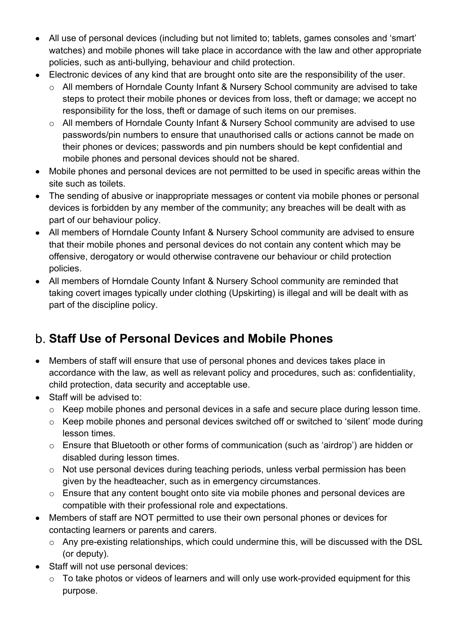- All use of personal devices (including but not limited to; tablets, games consoles and 'smart' watches) and mobile phones will take place in accordance with the law and other appropriate policies, such as anti-bullying, behaviour and child protection.
- Electronic devices of any kind that are brought onto site are the responsibility of the user.
	- o All members of Horndale County Infant & Nursery School community are advised to take steps to protect their mobile phones or devices from loss, theft or damage; we accept no responsibility for the loss, theft or damage of such items on our premises.
	- o All members of Horndale County Infant & Nursery School community are advised to use passwords/pin numbers to ensure that unauthorised calls or actions cannot be made on their phones or devices; passwords and pin numbers should be kept confidential and mobile phones and personal devices should not be shared.
- Mobile phones and personal devices are not permitted to be used in specific areas within the site such as toilets.
- The sending of abusive or inappropriate messages or content via mobile phones or personal devices is forbidden by any member of the community; any breaches will be dealt with as part of our behaviour policy.
- All members of Horndale County Infant & Nursery School community are advised to ensure that their mobile phones and personal devices do not contain any content which may be offensive, derogatory or would otherwise contravene our behaviour or child protection policies.
- All members of Horndale County Infant & Nursery School community are reminded that taking covert images typically under clothing (Upskirting) is illegal and will be dealt with as part of the discipline policy.

## **Staff Use of Personal Devices and Mobile Phones**

- Members of staff will ensure that use of personal phones and devices takes place in accordance with the law, as well as relevant policy and procedures, such as: confidentiality, child protection, data security and acceptable use.
- Staff will be advised to:
	- o Keep mobile phones and personal devices in a safe and secure place during lesson time.
	- o Keep mobile phones and personal devices switched off or switched to 'silent' mode during lesson times.
	- o Ensure that Bluetooth or other forms of communication (such as 'airdrop') are hidden or disabled during lesson times.
	- o Not use personal devices during teaching periods, unless verbal permission has been given by the headteacher, such as in emergency circumstances.
	- o Ensure that any content bought onto site via mobile phones and personal devices are compatible with their professional role and expectations.
- Members of staff are NOT permitted to use their own personal phones or devices for contacting learners or parents and carers.
	- o Any pre-existing relationships, which could undermine this, will be discussed with the DSL (or deputy).
- Staff will not use personal devices:
	- $\circ$  To take photos or videos of learners and will only use work-provided equipment for this purpose.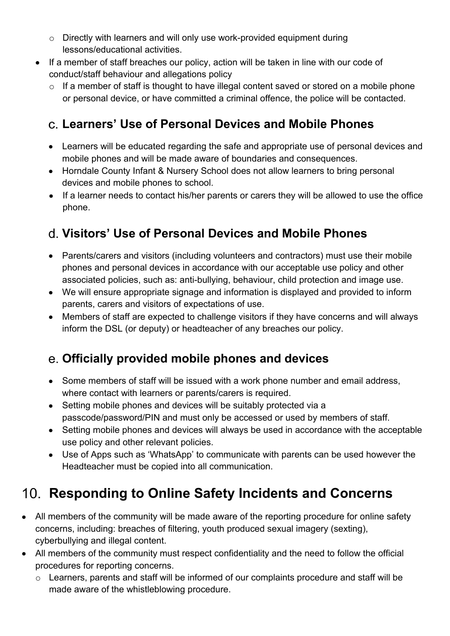- $\circ$  Directly with learners and will only use work-provided equipment during lessons/educational activities.
- If a member of staff breaches our policy, action will be taken in line with our code of conduct/staff behaviour and allegations policy
	- o If a member of staff is thought to have illegal content saved or stored on a mobile phone or personal device, or have committed a criminal offence, the police will be contacted.

#### **Learners' Use of Personal Devices and Mobile Phones**

- Learners will be educated regarding the safe and appropriate use of personal devices and mobile phones and will be made aware of boundaries and consequences.
- Horndale County Infant & Nursery School does not allow learners to bring personal devices and mobile phones to school.
- If a learner needs to contact his/her parents or carers they will be allowed to use the office phone.

#### **Visitors' Use of Personal Devices and Mobile Phones**

- Parents/carers and visitors (including volunteers and contractors) must use their mobile phones and personal devices in accordance with our acceptable use policy and other associated policies, such as: anti-bullying, behaviour, child protection and image use.
- We will ensure appropriate signage and information is displayed and provided to inform parents, carers and visitors of expectations of use.
- Members of staff are expected to challenge visitors if they have concerns and will always inform the DSL (or deputy) or headteacher of any breaches our policy.

#### **Officially provided mobile phones and devices**

- Some members of staff will be issued with a work phone number and email address, where contact with learners or parents/carers is required.
- Setting mobile phones and devices will be suitably protected via a passcode/password/PIN and must only be accessed or used by members of staff.
- Setting mobile phones and devices will always be used in accordance with the acceptable use policy and other relevant policies.
- Use of Apps such as 'WhatsApp' to communicate with parents can be used however the Headteacher must be copied into all communication.

# **Responding to Online Safety Incidents and Concerns**

- All members of the community will be made aware of the reporting procedure for online safety concerns, including: breaches of filtering, youth produced sexual imagery (sexting), cyberbullying and illegal content.
- All members of the community must respect confidentiality and the need to follow the official procedures for reporting concerns.
	- o Learners, parents and staff will be informed of our complaints procedure and staff will be made aware of the whistleblowing procedure.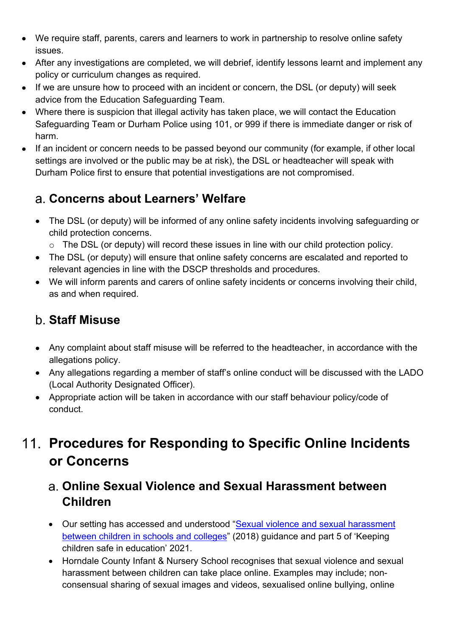- We require staff, parents, carers and learners to work in partnership to resolve online safety issues.
- After any investigations are completed, we will debrief, identify lessons learnt and implement any policy or curriculum changes as required.
- If we are unsure how to proceed with an incident or concern, the DSL (or deputy) will seek advice from the Education Safeguarding Team.
- Where there is suspicion that illegal activity has taken place, we will contact the Education Safeguarding Team or Durham Police using 101, or 999 if there is immediate danger or risk of harm.
- If an incident or concern needs to be passed beyond our community (for example, if other local settings are involved or the public may be at risk), the DSL or headteacher will speak with Durham Police first to ensure that potential investigations are not compromised.

#### **Concerns about Learners' Welfare**

• The DSL (or deputy) will be informed of any online safety incidents involving safeguarding or child protection concerns.

o The DSL (or deputy) will record these issues in line with our child protection policy.

- The DSL (or deputy) will ensure that online safety concerns are escalated and reported to relevant agencies in line with the DSCP thresholds and procedures.
- We will inform parents and carers of online safety incidents or concerns involving their child, as and when required.

#### **Staff Misuse**

- Any complaint about staff misuse will be referred to the headteacher, in accordance with the allegations policy.
- Any allegations regarding a member of staff's online conduct will be discussed with the LADO (Local Authority Designated Officer).
- Appropriate action will be taken in accordance with our staff behaviour policy/code of conduct.

# **Procedures for Responding to Specific Online Incidents or Concerns**

#### **Online Sexual Violence and Sexual Harassment between Children**

- Our setting has accessed and understood "Sexual violence and sexual harassment between children in schools and colleges" (2018) guidance and part 5 of 'Keeping children safe in education' 2021.
- Horndale County Infant & Nursery School recognises that sexual violence and sexual harassment between children can take place online. Examples may include; nonconsensual sharing of sexual images and videos, sexualised online bullying, online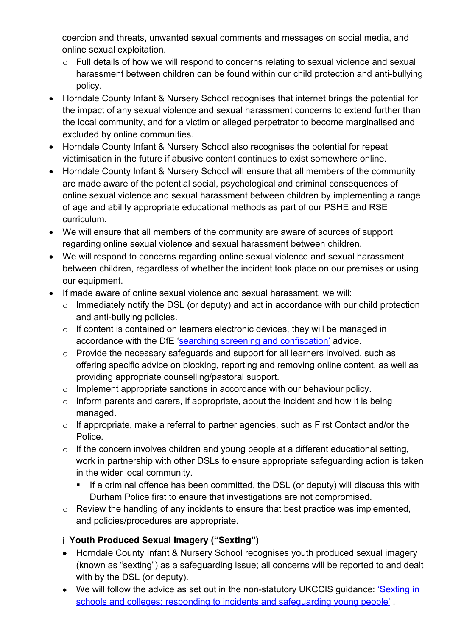coercion and threats, unwanted sexual comments and messages on social media, and online sexual exploitation.

- o Full details of how we will respond to concerns relating to sexual violence and sexual harassment between children can be found within our child protection and anti-bullying policy.
- Horndale County Infant & Nursery School recognises that internet brings the potential for the impact of any sexual violence and sexual harassment concerns to extend further than the local community, and for a victim or alleged perpetrator to become marginalised and excluded by online communities.
- Horndale County Infant & Nursery School also recognises the potential for repeat victimisation in the future if abusive content continues to exist somewhere online.
- Horndale County Infant & Nursery School will ensure that all members of the community are made aware of the potential social, psychological and criminal consequences of online sexual violence and sexual harassment between children by implementing a range of age and ability appropriate educational methods as part of our PSHE and RSE curriculum.
- We will ensure that all members of the community are aware of sources of support regarding online sexual violence and sexual harassment between children.
- We will respond to concerns regarding online sexual violence and sexual harassment between children, regardless of whether the incident took place on our premises or using our equipment.
- If made aware of online sexual violence and sexual harassment, we will:
	- o Immediately notify the DSL (or deputy) and act in accordance with our child protection and anti-bullying policies.
	- o If content is contained on learners electronic devices, they will be managed in accordance with the DfE 'searching screening and confiscation' advice.
	- o Provide the necessary safeguards and support for all learners involved, such as offering specific advice on blocking, reporting and removing online content, as well as providing appropriate counselling/pastoral support.
	- o Implement appropriate sanctions in accordance with our behaviour policy.
	- $\circ$  Inform parents and carers, if appropriate, about the incident and how it is being managed.
	- o If appropriate, make a referral to partner agencies, such as First Contact and/or the Police.
	- $\circ$  If the concern involves children and young people at a different educational setting, work in partnership with other DSLs to ensure appropriate safeguarding action is taken in the wider local community.
		- If a criminal offence has been committed, the DSL (or deputy) will discuss this with Durham Police first to ensure that investigations are not compromised.
	- o Review the handling of any incidents to ensure that best practice was implemented, and policies/procedures are appropriate.

#### **Youth Produced Sexual Imagery ("Sexting")**

- Horndale County Infant & Nursery School recognises youth produced sexual imagery (known as "sexting") as a safeguarding issue; all concerns will be reported to and dealt with by the DSL (or deputy).
- We will follow the advice as set out in the non-statutory UKCCIS guidance: *'Sexting in* schools and colleges: responding to incidents and safeguarding young people'.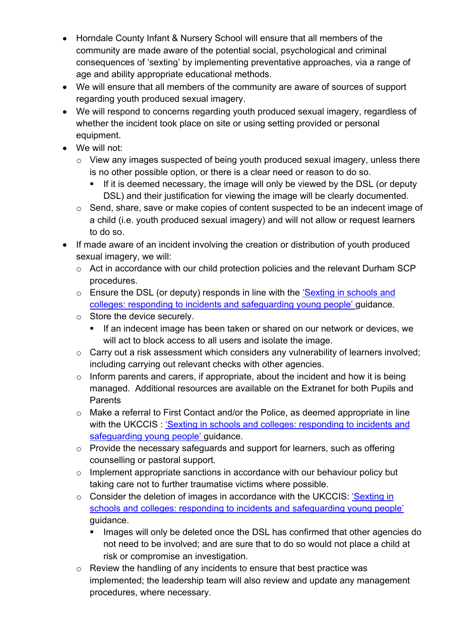- Horndale County Infant & Nursery School will ensure that all members of the community are made aware of the potential social, psychological and criminal consequences of 'sexting' by implementing preventative approaches, via a range of age and ability appropriate educational methods.
- We will ensure that all members of the community are aware of sources of support regarding youth produced sexual imagery.
- We will respond to concerns regarding youth produced sexual imagery, regardless of whether the incident took place on site or using setting provided or personal equipment.
- We will not:
	- o View any images suspected of being youth produced sexual imagery, unless there is no other possible option, or there is a clear need or reason to do so.
		- If it is deemed necessary, the image will only be viewed by the DSL (or deputy DSL) and their justification for viewing the image will be clearly documented.
	- o Send, share, save or make copies of content suspected to be an indecent image of a child (i.e. youth produced sexual imagery) and will not allow or request learners to do so.
- If made aware of an incident involving the creation or distribution of youth produced sexual imagery, we will:
	- o Act in accordance with our child protection policies and the relevant Durham SCP procedures.
	- o Ensure the DSL (or deputy) responds in line with the 'Sexting in schools and colleges: responding to incidents and safeguarding young people' guidance.
	- o Store the device securely.
		- If an indecent image has been taken or shared on our network or devices, we will act to block access to all users and isolate the image.
	- o Carry out a risk assessment which considers any vulnerability of learners involved; including carrying out relevant checks with other agencies.
	- $\circ$  Inform parents and carers, if appropriate, about the incident and how it is being managed. Additional resources are available on the Extranet for both Pupils and **Parents**
	- o Make a referral to First Contact and/or the Police, as deemed appropriate in line with the UKCCIS : 'Sexting in schools and colleges: responding to incidents and safeguarding young people' guidance.
	- o Provide the necessary safeguards and support for learners, such as offering counselling or pastoral support.
	- $\circ$  Implement appropriate sanctions in accordance with our behaviour policy but taking care not to further traumatise victims where possible.
	- o Consider the deletion of images in accordance with the UKCCIS: 'Sexting in schools and colleges: responding to incidents and safeguarding young people' guidance.
		- Images will only be deleted once the DSL has confirmed that other agencies do not need to be involved; and are sure that to do so would not place a child at risk or compromise an investigation.
	- o Review the handling of any incidents to ensure that best practice was implemented; the leadership team will also review and update any management procedures, where necessary.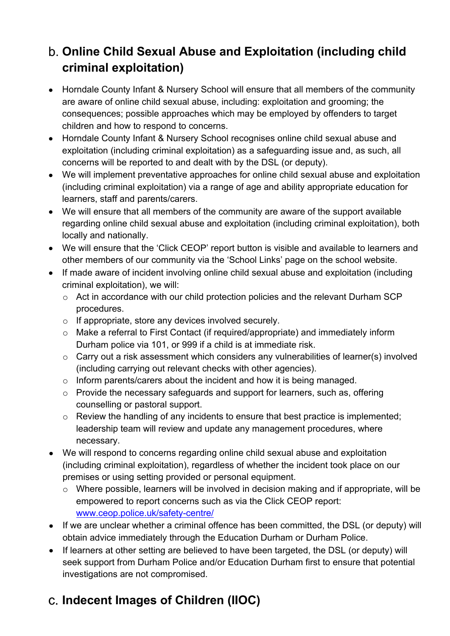## **Online Child Sexual Abuse and Exploitation (including child criminal exploitation)**

- Horndale County Infant & Nursery School will ensure that all members of the community are aware of online child sexual abuse, including: exploitation and grooming; the consequences; possible approaches which may be employed by offenders to target children and how to respond to concerns.
- Horndale County Infant & Nursery School recognises online child sexual abuse and exploitation (including criminal exploitation) as a safeguarding issue and, as such, all concerns will be reported to and dealt with by the DSL (or deputy).
- We will implement preventative approaches for online child sexual abuse and exploitation (including criminal exploitation) via a range of age and ability appropriate education for learners, staff and parents/carers.
- We will ensure that all members of the community are aware of the support available regarding online child sexual abuse and exploitation (including criminal exploitation), both locally and nationally.
- We will ensure that the 'Click CEOP' report button is visible and available to learners and other members of our community via the 'School Links' page on the school website.
- If made aware of incident involving online child sexual abuse and exploitation (including criminal exploitation), we will:
	- o Act in accordance with our child protection policies and the relevant Durham SCP procedures.
	- o If appropriate, store any devices involved securely.
	- $\circ$  Make a referral to First Contact (if required/appropriate) and immediately inform Durham police via 101, or 999 if a child is at immediate risk.
	- o Carry out a risk assessment which considers any vulnerabilities of learner(s) involved (including carrying out relevant checks with other agencies).
	- o Inform parents/carers about the incident and how it is being managed.
	- o Provide the necessary safeguards and support for learners, such as, offering counselling or pastoral support.
	- o Review the handling of any incidents to ensure that best practice is implemented; leadership team will review and update any management procedures, where necessary.
- We will respond to concerns regarding online child sexual abuse and exploitation (including criminal exploitation), regardless of whether the incident took place on our premises or using setting provided or personal equipment.
	- o Where possible, learners will be involved in decision making and if appropriate, will be empowered to report concerns such as via the Click CEOP report: www.ceop.police.uk/safety-centre/
- If we are unclear whether a criminal offence has been committed, the DSL (or deputy) will obtain advice immediately through the Education Durham or Durham Police.
- If learners at other setting are believed to have been targeted, the DSL (or deputy) will seek support from Durham Police and/or Education Durham first to ensure that potential investigations are not compromised.

# **Indecent Images of Children (IIOC)**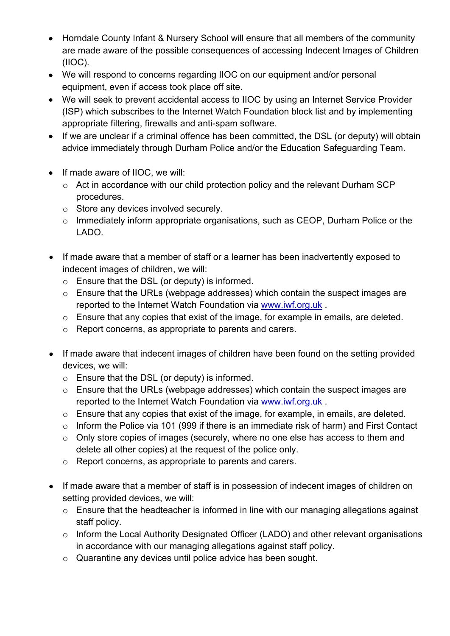- Horndale County Infant & Nursery School will ensure that all members of the community are made aware of the possible consequences of accessing Indecent Images of Children (IIOC).
- We will respond to concerns regarding IIOC on our equipment and/or personal equipment, even if access took place off site.
- We will seek to prevent accidental access to IIOC by using an Internet Service Provider (ISP) which subscribes to the Internet Watch Foundation block list and by implementing appropriate filtering, firewalls and anti-spam software.
- If we are unclear if a criminal offence has been committed, the DSL (or deputy) will obtain advice immediately through Durham Police and/or the Education Safeguarding Team.
- If made aware of IIOC, we will:
	- o Act in accordance with our child protection policy and the relevant Durham SCP procedures.
	- o Store any devices involved securely.
	- o Immediately inform appropriate organisations, such as CEOP, Durham Police or the LADO.
- If made aware that a member of staff or a learner has been inadvertently exposed to indecent images of children, we will:
	- o Ensure that the DSL (or deputy) is informed.
	- o Ensure that the URLs (webpage addresses) which contain the suspect images are reported to the Internet Watch Foundation via www.iwf.org.uk .
	- o Ensure that any copies that exist of the image, for example in emails, are deleted.
	- o Report concerns, as appropriate to parents and carers.
- If made aware that indecent images of children have been found on the setting provided devices, we will:
	- o Ensure that the DSL (or deputy) is informed.
	- o Ensure that the URLs (webpage addresses) which contain the suspect images are reported to the Internet Watch Foundation via www.iwf.org.uk .
	- o Ensure that any copies that exist of the image, for example, in emails, are deleted.
	- o Inform the Police via 101 (999 if there is an immediate risk of harm) and First Contact
	- o Only store copies of images (securely, where no one else has access to them and delete all other copies) at the request of the police only.
	- o Report concerns, as appropriate to parents and carers.
- If made aware that a member of staff is in possession of indecent images of children on setting provided devices, we will:
	- o Ensure that the headteacher is informed in line with our managing allegations against staff policy.
	- o Inform the Local Authority Designated Officer (LADO) and other relevant organisations in accordance with our managing allegations against staff policy.
	- o Quarantine any devices until police advice has been sought.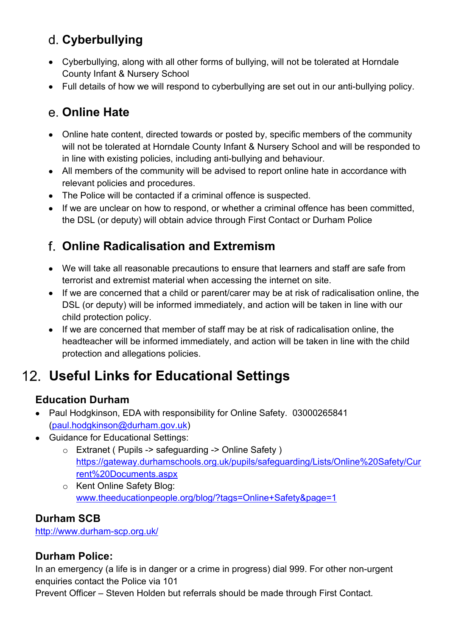## **Cyberbullying**

- Cyberbullying, along with all other forms of bullying, will not be tolerated at Horndale County Infant & Nursery School
- Full details of how we will respond to cyberbullying are set out in our anti-bullying policy.

### **Online Hate**

- Online hate content, directed towards or posted by, specific members of the community will not be tolerated at Horndale County Infant & Nursery School and will be responded to in line with existing policies, including anti-bullying and behaviour.
- All members of the community will be advised to report online hate in accordance with relevant policies and procedures.
- The Police will be contacted if a criminal offence is suspected.
- If we are unclear on how to respond, or whether a criminal offence has been committed, the DSL (or deputy) will obtain advice through First Contact or Durham Police

### **Online Radicalisation and Extremism**

- We will take all reasonable precautions to ensure that learners and staff are safe from terrorist and extremist material when accessing the internet on site.
- If we are concerned that a child or parent/carer may be at risk of radicalisation online, the DSL (or deputy) will be informed immediately, and action will be taken in line with our child protection policy.
- If we are concerned that member of staff may be at risk of radicalisation online, the headteacher will be informed immediately, and action will be taken in line with the child protection and allegations policies.

# **Useful Links for Educational Settings**

#### **Education Durham**

- Paul Hodgkinson, EDA with responsibility for Online Safety. 03000265841 (paul.hodgkinson@durham.gov.uk)
- Guidance for Educational Settings:
	- o Extranet ( Pupils -> safeguarding -> Online Safety ) https://gateway.durhamschools.org.uk/pupils/safeguarding/Lists/Online%20Safety/Cur rent%20Documents.aspx
	- o Kent Online Safety Blog: www.theeducationpeople.org/blog/?tags=Online+Safety&page=1

#### **Durham SCB**

http://www.durham-scp.org.uk/

#### **Durham Police:**

In an emergency (a life is in danger or a crime in progress) dial 999. For other non-urgent enquiries contact the Police via 101

Prevent Officer – Steven Holden but referrals should be made through First Contact.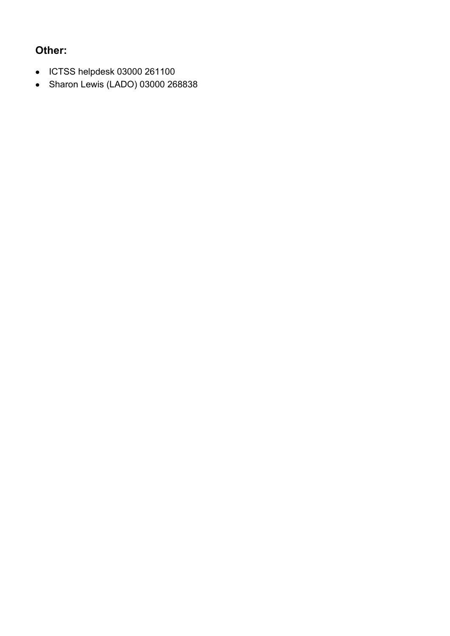#### **Other:**

- ICTSS helpdesk 03000 261100
- Sharon Lewis (LADO) 03000 268838